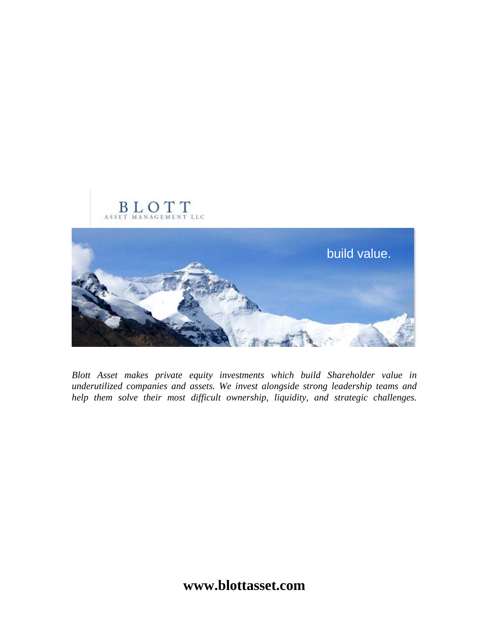



*Blott Asset makes private equity investments which build Shareholder value in underutilized companies and assets. We invest alongside strong leadership teams and help them solve their most difficult ownership, liquidity, and strategic challenges.* 

## **www.blottasset.com**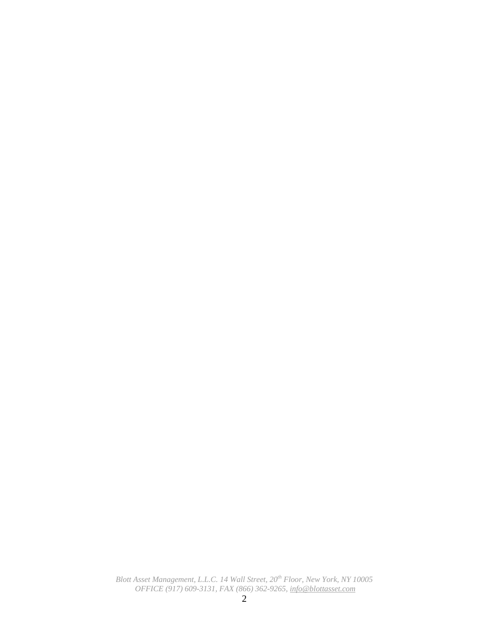Blott Asset Management, L.L.C. 14 Wall Street, 20<sup>th</sup> Floor, New York, NY 10005  *OFFICE (917) 609-3131, FAX (866) 362-9265, info@blottasset.com*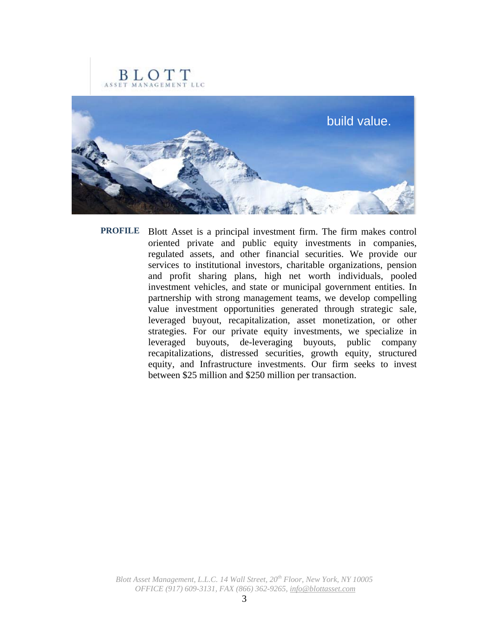

**PROFILE** Blott Asset is a principal investment firm. The firm makes control oriented private and public equity investments in companies, regulated assets, and other financial securities. We provide our services to institutional investors, charitable organizations, pension and profit sharing plans, high net worth individuals, pooled investment vehicles, and state or municipal government entities. In partnership with strong management teams, we develop compelling value investment opportunities generated through strategic sale, leveraged buyout, recapitalization, asset monetization, or other strategies. For our private equity investments, we specialize in leveraged buyouts, de-leveraging buyouts, public company recapitalizations, distressed securities, growth equity, structured equity, and Infrastructure investments. Our firm seeks to invest between \$25 million and \$250 million per transaction.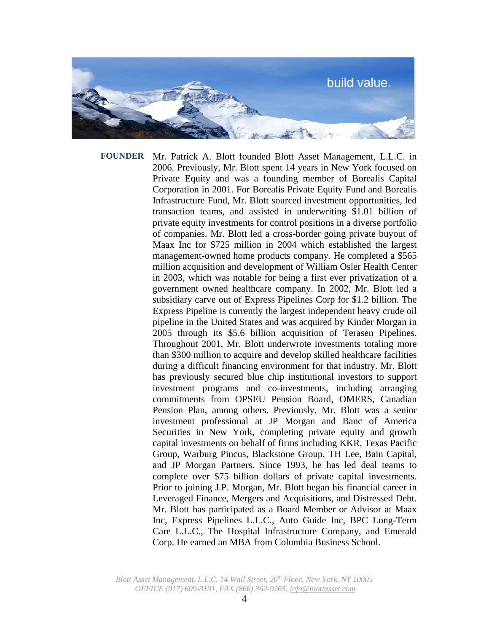

**FOUNDER** Mr. Patrick A. Blott founded Blott Asset Management, L.L.C. in 2006. Previously, Mr. Blott spent 14 years in New York focused on Private Equity and was a founding member of Borealis Capital Corporation in 2001. For Borealis Private Equity Fund and Borealis Infrastructure Fund, Mr. Blott sourced investment opportunities, led transaction teams, and assisted in underwriting \$1.01 billion of private equity investments for control positions in a diverse portfolio of companies. Mr. Blott led a cross-border going private buyout of Maax Inc for \$725 million in 2004 which established the largest management-owned home products company. He completed a \$565 million acquisition and development of William Osler Health Center in 2003, which was notable for being a first ever privatization of a government owned healthcare company. In 2002, Mr. Blott led a subsidiary carve out of Express Pipelines Corp for \$1.2 billion. The Express Pipeline is currently the largest independent heavy crude oil pipeline in the United States and was acquired by Kinder Morgan in 2005 through its \$5.6 billion acquisition of Terasen Pipelines. Throughout 2001, Mr. Blott underwrote investments totaling more than \$300 million to acquire and develop skilled healthcare facilities during a difficult financing environment for that industry. Mr. Blott has previously secured blue chip institutional investors to support investment programs and co-investments, including arranging commitments from OPSEU Pension Board, OMERS, Canadian Pension Plan, among others. Previously, Mr. Blott was a senior investment professional at JP Morgan and Banc of America Securities in New York, completing private equity and growth capital investments on behalf of firms including KKR, Texas Pacific Group, Warburg Pincus, Blackstone Group, TH Lee, Bain Capital, and JP Morgan Partners. Since 1993, he has led deal teams to complete over \$75 billion dollars of private capital investments. Prior to joining J.P. Morgan, Mr. Blott began his financial career in Leveraged Finance, Mergers and Acquisitions, and Distressed Debt. Mr. Blott has participated as a Board Member or Advisor at Maax Inc, Express Pipelines L.L.C., Auto Guide Inc, BPC Long-Term Care L.L.C., The Hospital Infrastructure Company, and Emerald Corp. He earned an MBA from Columbia Business School.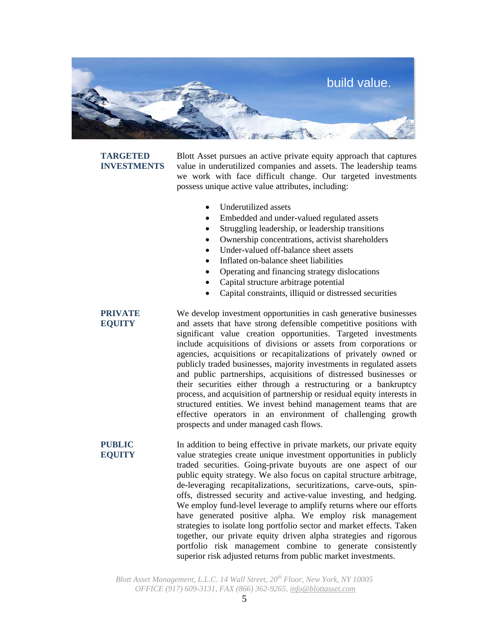

## **TARGETED INVESTMENTS**

**PRIVATE EQUITY** 

Blott Asset pursues an active private equity approach that captures value in underutilized companies and assets. The leadership teams we work with face difficult change. Our targeted investments possess unique active value attributes, including:

- Underutilized assets
- Embedded and under-valued regulated assets
- Struggling leadership, or leadership transitions
- Ownership concentrations, activist shareholders
- Under-valued off-balance sheet assets
- Inflated on-balance sheet liabilities
- Operating and financing strategy dislocations
- Capital structure arbitrage potential
- Capital constraints, illiquid or distressed securities

We develop investment opportunities in cash generative businesses and assets that have strong defensible competitive positions with significant value creation opportunities. Targeted investments include acquisitions of divisions or assets from corporations or agencies, acquisitions or recapitalizations of privately owned or publicly traded businesses, majority investments in regulated assets and public partnerships, acquisitions of distressed businesses or their securities either through a restructuring or a bankruptcy process, and acquisition of partnership or residual equity interests in structured entities. We invest behind management teams that are effective operators in an environment of challenging growth prospects and under managed cash flows.

**PUBLIC EQUITY**  In addition to being effective in private markets, our private equity value strategies create unique investment opportunities in publicly traded securities. Going-private buyouts are one aspect of our public equity strategy. We also focus on capital structure arbitrage, de-leveraging recapitalizations, securitizations, carve-outs, spinoffs, distressed security and active-value investing, and hedging. We employ fund-level leverage to amplify returns where our efforts have generated positive alpha. We employ risk management strategies to isolate long portfolio sector and market effects. Taken together, our private equity driven alpha strategies and rigorous portfolio risk management combine to generate consistently superior risk adjusted returns from public market investments.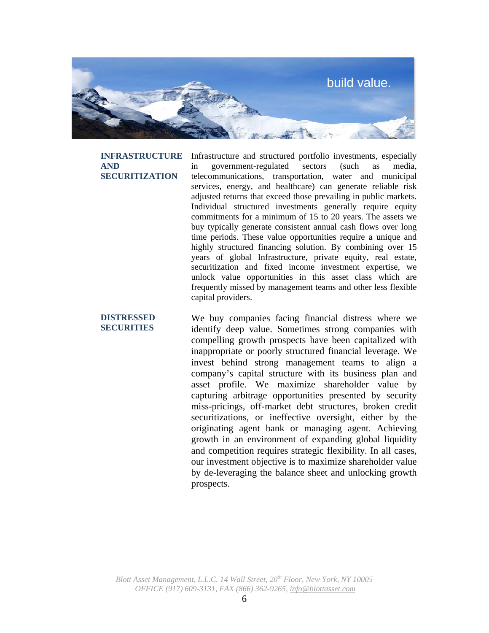

## **INFRASTRUCTURE AND SECURITIZATION**

Infrastructure and structured portfolio investments, especially in government-regulated sectors (such as media, telecommunications, transportation, water and municipal services, energy, and healthcare) can generate reliable risk adjusted returns that exceed those prevailing in public markets. Individual structured investments generally require equity commitments for a minimum of 15 to 20 years. The assets we buy typically generate consistent annual cash flows over long time periods. These value opportunities require a unique and highly structured financing solution. By combining over 15 years of global Infrastructure, private equity, real estate, securitization and fixed income investment expertise, we unlock value opportunities in this asset class which are frequently missed by management teams and other less flexible capital providers.

**DISTRESSED SECURITIES** We buy companies facing financial distress where we identify deep value. Sometimes strong companies with compelling growth prospects have been capitalized with inappropriate or poorly structured financial leverage. We invest behind strong management teams to align a company's capital structure with its business plan and asset profile. We maximize shareholder value by capturing arbitrage opportunities presented by security miss-pricings, off-market debt structures, broken credit securitizations, or ineffective oversight, either by the originating agent bank or managing agent. Achieving growth in an environment of expanding global liquidity and competition requires strategic flexibility. In all cases, our investment objective is to maximize shareholder value by de-leveraging the balance sheet and unlocking growth prospects.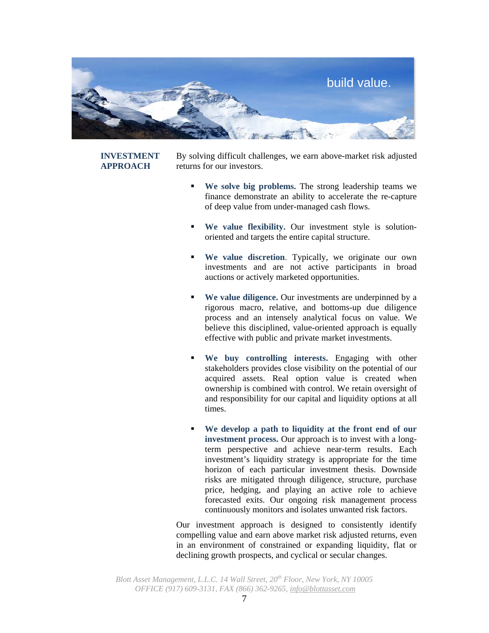

## **INVESTMENT APPROACH**

By solving difficult challenges, we earn above-market risk adjusted returns for our investors.

- **We solve big problems.** The strong leadership teams we finance demonstrate an ability to accelerate the re-capture of deep value from under-managed cash flows.
- **We value flexibility.** Our investment style is solutionoriented and targets the entire capital structure.
- **We value discretion**. Typically, we originate our own investments and are not active participants in broad auctions or actively marketed opportunities.
- **We value diligence.** Our investments are underpinned by a rigorous macro, relative, and bottoms-up due diligence process and an intensely analytical focus on value. We believe this disciplined, value-oriented approach is equally effective with public and private market investments.
- **We buy controlling interests.** Engaging with other stakeholders provides close visibility on the potential of our acquired assets. Real option value is created when ownership is combined with control. We retain oversight of and responsibility for our capital and liquidity options at all times.
- **We develop a path to liquidity at the front end of our investment process.** Our approach is to invest with a longterm perspective and achieve near-term results. Each investment's liquidity strategy is appropriate for the time horizon of each particular investment thesis. Downside risks are mitigated through diligence, structure, purchase price, hedging, and playing an active role to achieve forecasted exits. Our ongoing risk management process continuously monitors and isolates unwanted risk factors.

Our investment approach is designed to consistently identify compelling value and earn above market risk adjusted returns, even in an environment of constrained or expanding liquidity, flat or declining growth prospects, and cyclical or secular changes.